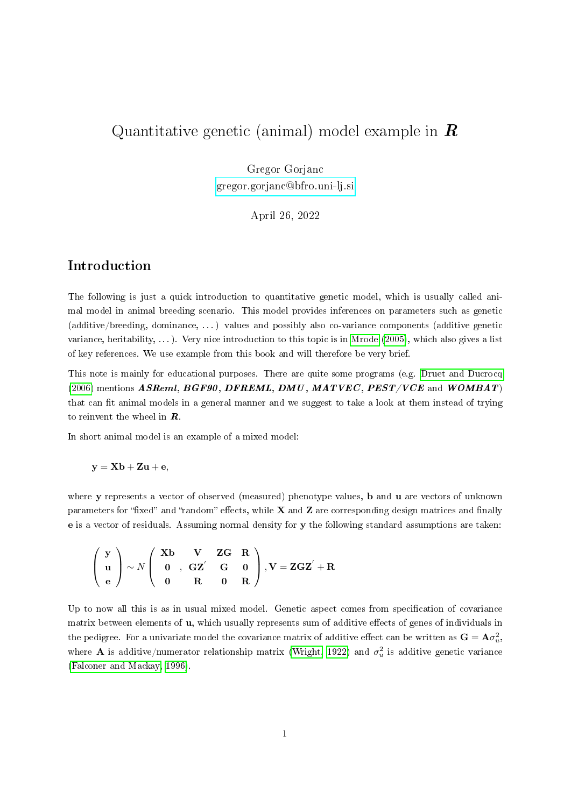# Quantitative genetic (animal) model example in  $\bm{R}$

Gregor Gorjanc [gregor.gorjanc@bfro.uni-lj.si](mailto:gregor.gorjanc@bfro.uni-lj.si)

April 26, 2022

#### Introduction

The following is just a quick introduction to quantitative genetic model, which is usually called animal model in animal breeding scenario. This model provides inferences on parameters such as genetic (additive/breeding, dominance, . . . ) values and possibly also co-variance components (additive genetic variance, heritability, ...). Very nice introduction to this topic is in [Mrode](#page-5-0) [\(2005\)](#page-5-0), which also gives a list of key references. We use example from this book and will therefore be very brief.

This note is mainly for educational purposes. There are quite some programs (e.g. [Druet and Ducrocq](#page-4-0) [\(2006\)](#page-4-0) mentions  $ASReml, BGF90, DFREML, DMU, MATVEC, PEST/VCE$  and  $WOMBAT$ ) that can fit animal models in a general manner and we suggest to take a look at them instead of trying to reinvent the wheel in  $\boldsymbol{R}$ .

In short animal model is an example of a mixed model:

 $y = Xb + Zu + e$ ,

where y represents a vector of observed (measured) phenotype values, b and u are vectors of unknown parameters for "fixed" and "random" effects, while  $X$  and  $Z$  are corresponding design matrices and finally e is a vector of residuals. Assuming normal density for y the following standard assumptions are taken:

$$
\left(\begin{array}{c}\mathbf{y}\\ \mathbf{u}\\ \mathbf{e}\end{array}\right)\sim N\left(\begin{array}{ccc}\mathbf{X}\mathbf{b}&\mathbf{V}&\mathbf{Z}\mathbf{G}&\mathbf{R}\\ \mathbf{0}&\mathbf{G}\mathbf{Z}^{'}&\mathbf{G}&\mathbf{0}\\ \mathbf{0}&\mathbf{R}&\mathbf{0}&\mathbf{R}\end{array}\right),\mathbf{V}=\mathbf{Z}\mathbf{G}\mathbf{Z}^{'}+\mathbf{R}
$$

Up to now all this is as in usual mixed model. Genetic aspect comes from specification of covariance matrix between elements of  $\mathbf u$ , which usually represents sum of additive effects of genes of individuals in the pedigree. For a univariate model the covariance matrix of additive effect can be written as  ${\bf G}={\bf A}\sigma_u^2,$ where **A** is additive/numerator relationship matrix [\(Wright, 1922\)](#page-5-1) and  $\sigma_u^2$  is additive genetic variance [\(Falconer and Mackay, 1996\)](#page-4-1).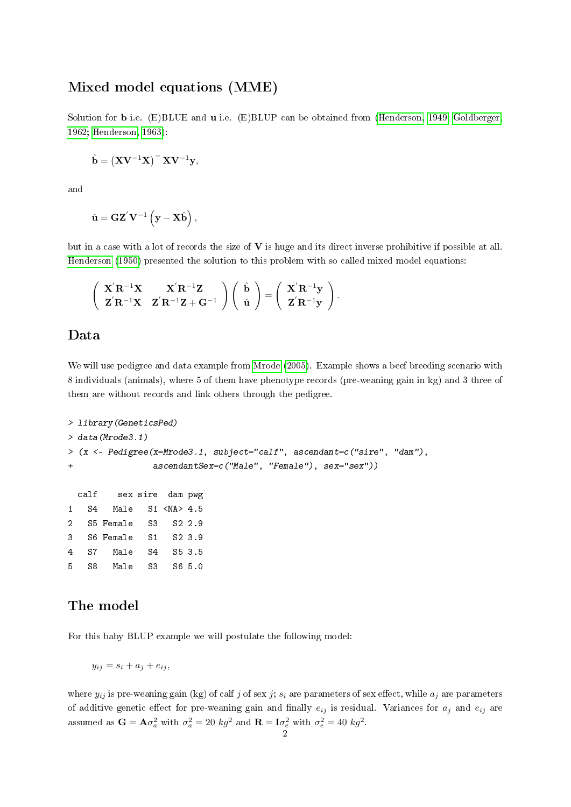#### Mixed model equations (MME)

Solution for **b** i.e. (E)BLUE and **u** i.e. (E)BLUP can be obtained from [\(Henderson, 1949;](#page-5-2) [Goldberger,](#page-5-3) [1962;](#page-5-3) [Henderson, 1963\)](#page-5-4):

$$
\hat{\mathbf{b}} = \left(\mathbf{X}\mathbf{V}^{-1}\mathbf{X}\right)^{-} \mathbf{X}\mathbf{V}^{-1}\mathbf{y},
$$

and

$$
\hat{\mathbf{u}} = \mathbf{GZ}'\mathbf{V}^{-1}\left(\mathbf{y} - \mathbf{X}\hat{\mathbf{b}}\right),\,
$$

but in a case with a lot of records the size of  $V$  is huge and its direct inverse prohibitive if possible at all. [Henderson](#page-5-5) [\(1950\)](#page-5-5) presented the solution to this problem with so called mixed model equations:

$$
\left(\begin{array}{cc}\nX^{'}R^{-1}X & X^{'}R^{-1}Z \\
Z^{'}R^{-1}X & Z^{'}R^{-1}Z+G^{-1}\n\end{array}\right)\left(\begin{array}{c}\n\hat{b} \\
\hat{u}\n\end{array}\right)=\left(\begin{array}{c}\nX^{'}R^{-1}y \\
Z^{'}R^{-1}y\n\end{array}\right).
$$

### Data

We will use pedigree and data example from [Mrode](#page-5-0) [\(2005\)](#page-5-0). Example shows a beef breeding scenario with 8 individuals (animals), where 5 of them have phenotype records (pre-weaning gain in kg) and 3 three of them are without records and link others through the pedigree.

```
> library(GeneticsPed)
> data(Mrode3.1)
> (x <- Pedigree(x=Mrode3.1, subject="calf", ascendant=c("sire", "dam"),
+ ascendantSex=c("Male", "Female"), sex="sex"))
 calf sex sire dam pwg
1 S4 Male S1 <NA> 4.5
2 S5 Female S3 S2 2.9
3 S6 Female S1 S2 3.9
4 S7 Male S4 S5 3.5
5 S8 Male S3 S6 5.0
```
### The model

For this baby BLUP example we will postulate the following model:

$$
y_{ij} = s_i + a_j + e_{ij},
$$

where  $y_{ij}$  is pre-weaning gain (kg) of calf j of sex j;  $s_i$  are parameters of sex effect, while  $a_j$  are parameters of additive genetic effect for pre-weaning gain and finally  $e_{ij}$  is residual. Variances for  $a_j$  and  $e_{ij}$  are assumed as  $\mathbf{G} = \mathbf{A}\sigma_a^2$  with  $\sigma_a^2 = 20$   $kg^2$  and  $\mathbf{R} = \mathbf{I}\sigma_e^2$  with  $\sigma_e^2 = 40$   $kg^2$ .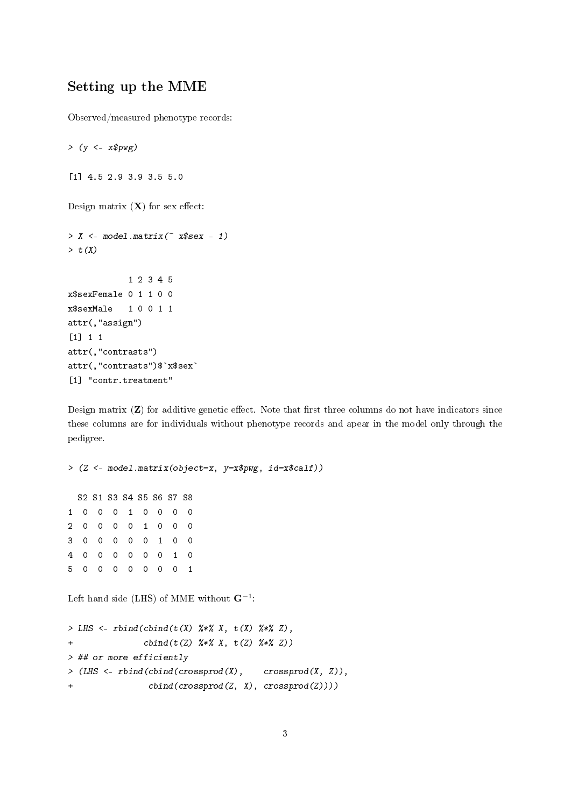# Setting up the MME

Observed/measured phenotype records:

 $>$  (y <-  $x$pwg$ ) [1] 4.5 2.9 3.9 3.5 5.0 Design matrix  $(X)$  for sex effect:  $> X < -$  model.matrix( $\sim x$ \$sex - 1)  $> t(X)$ 1 2 3 4 5 x\$sexFemale 0 1 1 0 0 x\$sexMale 1 0 0 1 1 attr(,"assign") [1] 1 1 attr(,"contrasts") attr(,"contrasts")\$`x\$sex` [1] "contr.treatment"

Design matrix  $(Z)$  for additive genetic effect. Note that first three columns do not have indicators since these columns are for individuals without phenotype records and apear in the model only through the pedigree.

> (Z <- model.matrix(object=x, y=x\$pwg, id=x\$calf)) S2 S1 S3 S4 S5 S6 S7 S8 1 0 0 0 1 0 0 0 0 2 0 0 0 0 1 0 0 0 3 0 0 0 0 0 1 0 0 4 0 0 0 0 0 0 1 0 5 0 0 0 0 0 0 0 1

Left hand side (LHS) of MME without  $\mathbf{G}^{-1}$ :

```
> LHS <- rbind(cbind(t(X) \frac{9}{8} *\frac{7}{8} X, t(X) \frac{9}{8} *\frac{7}{8} Z),
+ cbind(t(Z) \frac{9}{2} \frac{1}{2} \frac{1}{2} \frac{1}{2} \frac{1}{2} \frac{1}{2} \frac{1}{2} \frac{1}{2} \frac{1}{2} \frac{1}{2} \frac{1}{2} \frac{1}{2} \frac{1}{2} \frac{1}{2} \frac{1}{2} \frac{1}{2} \frac{1}{2} \frac{1}{2} \frac{1}{2} \frac{1}{2} \frac{1}{2}> ## or more efficiently
> (LHS <- rbind(cbind(crossprod(X), crossprod(X, Z)),
+ cbind(crossprod(Z, X), crossprod(Z))))
```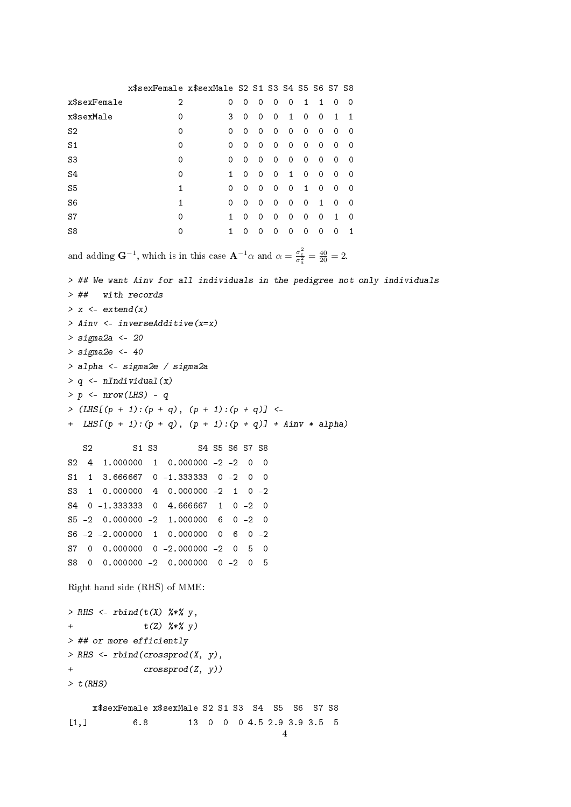x\$sexFemale x\$sexMale S2 S1 S3 S4 S5 S6 S7 S8 x\$sexFemale 2 0 0 0 0 0 1 1 0 0 x\$sexMale 0 3 0 0 0 1 0 0 1 1 S2 0 0 0 0 0 0 0 0 0 0 0 S1 0 0 0 0 0 0 0 0 0 0 S3 0 0 0 0 0 0 0 0 0 0 S4 0 1 0 0 0 1 0 0 0 0 S5 1 0 0 0 0 0 1 0 0 0 S6 1 0 0 0 0 0 0 1 0 0 S7 0 1 0 0 0 0 0 0 1 0 S8 0 1 0 0 0 0 0 0 0 1 and adding  $\mathbf{G}^{-1}$ , which is in this case  $\mathbf{A}^{-1}\alpha$  and  $\alpha = \frac{\sigma_e^2}{\sigma_a^2} = \frac{40}{20} = 2$ . > ## We want Ainv for all individuals in the pedigree not only individuals > ## with records  $> x < -$  extend(x) > Ainv <- inverseAdditive(x=x) > sigma2a <- 20  $>$  sigma2e  $<-40$ > alpha <- sigma2e / sigma2a  $> q \leq n$ Individual(x)  $> p \leq - nrow(LHS) - q$ >  $(LHS[(p + 1):(p + q), (p + 1):(p + q)]$  <-+ LHS $[(p + 1):(p + q), (p + 1):(p + q)]$  + Ainv \* alpha) S2 S1 S3 S4 S5 S6 S7 S8 S2 4 1.000000 1 0.000000 -2 -2 0 0 S1 1 3.666667 0 -1.333333 0 -2 0 0 S3 1 0.000000 4 0.000000 -2 1 0 -2 S4 0 -1.333333 0 4.666667 1 0 -2 0 S5 -2 0.000000 -2 1.000000 6 0 -2 0 S6 -2 -2.000000 1 0.000000 0 6 0 -2 S7 0 0.000000 0 -2.000000 -2 0 5 0 S8 0 0.000000 -2 0.000000 0 -2 0 5 Right hand side (RHS) of MME: > RHS <-  $rbind(t(X)$  %\*%  $y$ , +  $t(Z)$   $\frac{9}{8}*$   $\frac{9}{8}$   $\frac{9}{8}$   $\frac{19}{8}$ > ## or more efficiently > RHS  $\leftarrow$  rbind(crossprod(X, y), + crossprod(Z, y))  $> t(RHS)$ x\$sexFemale x\$sexMale S2 S1 S3 S4 S5 S6 S7 S8 [1,] 6.8 13 0 0 0 4.5 2.9 3.9 3.5 5

4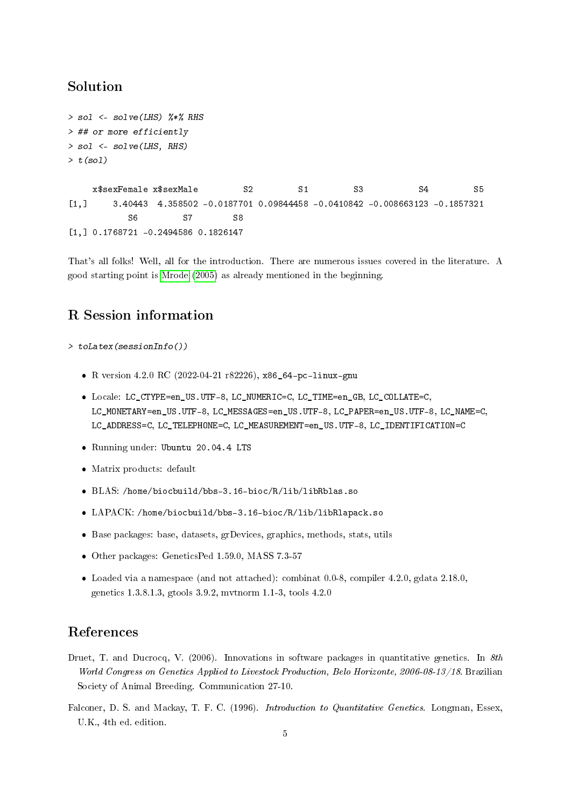### Solution

```
> sol <- solve(LHS) %*% RHS
> ## or more efficiently
> sol <- solve(LHS, RHS)
> t(sol)
```
x\$sexFemale x\$sexMale  $S2$  S1 S3 S4 S5 [1,] 3.40443 4.358502 -0.0187701 0.09844458 -0.0410842 -0.008663123 -0.1857321 S6 S7 S8 [1,] 0.1768721 -0.2494586 0.1826147

That's all folks! Well, all for the introduction. There are numerous issues covered in the literature. A good starting point is [Mrode](#page-5-0) [\(2005\)](#page-5-0) as already mentioned in the beginning.

## R Session information

> toLatex(sessionInfo())

- R version 4.2.0 RC (2022-04-21 r82226), x86\_64-pc-linux-gnu
- Locale: LC\_CTYPE=en\_US.UTF-8, LC\_NUMERIC=C, LC\_TIME=en\_GB, LC\_COLLATE=C, LC\_MONETARY=en\_US.UTF-8, LC\_MESSAGES=en\_US.UTF-8, LC\_PAPER=en\_US.UTF-8, LC\_NAME=C, LC\_ADDRESS=C, LC\_TELEPHONE=C, LC\_MEASUREMENT=en\_US.UTF-8, LC\_IDENTIFICATION=C
- Running under: Ubuntu 20.04.4 LTS
- Matrix products: default
- BLAS: /home/biocbuild/bbs-3.16-bioc/R/lib/libRblas.so
- LAPACK: /home/biocbuild/bbs-3.16-bioc/R/lib/libRlapack.so
- Base packages: base, datasets, grDevices, graphics, methods, stats, utils
- Other packages: GeneticsPed 1.59.0, MASS 7.3-57
- Loaded via a namespace (and not attached): combinat 0.0-8, compiler 4.2.0, gdata 2.18.0, genetics 1.3.8.1.3, gtools 3.9.2, mvtnorm 1.1-3, tools 4.2.0

## References

- <span id="page-4-0"></span>Druet, T. and Ducrocq, V. (2006). Innovations in software packages in quantitative genetics. In  $8th$ World Congress on Genetics Applied to Livestock Production, Belo Horizonte, 2006-08-13/18. Brazilian Society of Animal Breeding. Communication 27-10.
- <span id="page-4-1"></span>Falconer, D. S. and Mackay, T. F. C. (1996). *Introduction to Quantitative Genetics*. Longman, Essex, U.K., 4th ed. edition.